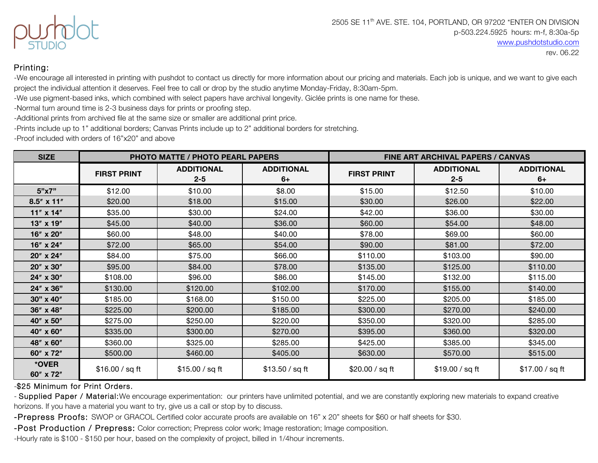

## Printing:

-We encourage all interested in printing with pushdot to contact us directly for more information about our pricing and materials. Each job is unique, and we want to give each project the individual attention it deserves. Feel free to call or drop by the studio anytime Monday-Friday, 8:30am-5pm.

-We use pigment-based inks, which combined with select papers have archival longevity. Giclée prints is one name for these.

-Normal turn around time is 2-3 business days for prints or proofing step.

-Additional prints from archived file at the same size or smaller are additional print price.

-Prints include up to 1" additional borders; Canvas Prints include up to 2" additional borders for stretching.

-Proof included with orders of 16"x20" and above

| <b>SIZE</b>         |                    | <b>PHOTO MATTE / PHOTO PEARL PAPERS</b> |                         |                    | <b>FINE ART ARCHIVAL PAPERS / CANVAS</b> |                           |
|---------------------|--------------------|-----------------------------------------|-------------------------|--------------------|------------------------------------------|---------------------------|
|                     | <b>FIRST PRINT</b> | <b>ADDITIONAL</b><br>$2 - 5$            | <b>ADDITIONAL</b><br>6+ | <b>FIRST PRINT</b> | <b>ADDITIONAL</b><br>$2 - 5$             | <b>ADDITIONAL</b><br>$6+$ |
| 5"x7"               | \$12.00            | \$10.00                                 | \$8.00                  | \$15.00            | \$12.50                                  | \$10.00                   |
| $8.5'' \times 11''$ | \$20.00            | \$18.00                                 | \$15.00                 | \$30.00            | \$26.00                                  | \$22.00                   |
| $11'' \times 14''$  | \$35.00            | \$30.00                                 | \$24.00                 | \$42.00            | \$36.00                                  | \$30.00                   |
| 13" x 19"           | \$45.00            | \$40.00                                 | \$36.00                 | \$60.00            | \$54.00                                  | \$48.00                   |
| 16" x 20"           | \$60.00            | \$48.00                                 | \$40.00                 | \$78.00            | \$69.00                                  | \$60.00                   |
| 16" x 24"           | \$72.00            | \$65.00                                 | \$54.00                 | \$90.00            | \$81.00                                  | \$72.00                   |
| 20" x 24"           | \$84.00            | \$75.00                                 | \$66.00                 | \$110.00           | \$103.00                                 | \$90.00                   |
| 20" x 30"           | \$95.00            | \$84.00                                 | \$78.00                 | \$135.00           | \$125.00                                 | \$110.00                  |
| 24" x 30"           | \$108.00           | \$96.00                                 | \$86.00                 | \$145.00           | \$132.00                                 | \$115.00                  |
| 24" x 36"           | \$130.00           | \$120.00                                | \$102.00                | \$170.00           | \$155.00                                 | \$140.00                  |
| 30" x 40"           | \$185.00           | \$168.00                                | \$150.00                | \$225.00           | \$205.00                                 | \$185.00                  |
| 36" x 48"           | \$225.00           | \$200.00                                | \$185.00                | \$300.00           | \$270.00                                 | \$240.00                  |
| 40" x 50"           | \$275.00           | \$250.00                                | \$220.00                | \$350.00           | \$320.00                                 | \$285.00                  |
| 40" x 60"           | \$335.00           | \$300.00                                | \$270.00                | \$395.00           | \$360.00                                 | \$320.00                  |
| 48" x 60"           | \$360.00           | \$325.00                                | \$285.00                | \$425.00           | \$385.00                                 | \$345.00                  |
| 60" x 72"           | \$500.00           | \$460.00                                | \$405.00                | \$630.00           | \$570.00                                 | \$515.00                  |
| *OVER<br>60" x 72"  | \$16.00 / sq ft    | \$15.00 / sq ft                         | \$13.50 / sq ft         | \$20.00 / sq ft    | \$19.00 / sq ft                          | \$17.00 / sq ft           |

### -\$25 Minimum for Print Orders.

- Supplied Paper / Material: We encourage experimentation: our printers have unlimited potential, and we are constantly exploring new materials to expand creative horizons. If you have a material you want to try, give us a call or stop by to discuss.

-Prepress Proofs: SWOP or GRACOL Certified color accurate proofs are available on 16" x 20" sheets for \$60 or half sheets for \$30.

-Post Production / Prepress: Color correction; Prepress color work; Image restoration; Image composition.

-Hourly rate is \$100 - \$150 per hour, based on the complexity of project, billed in 1/4hour increments.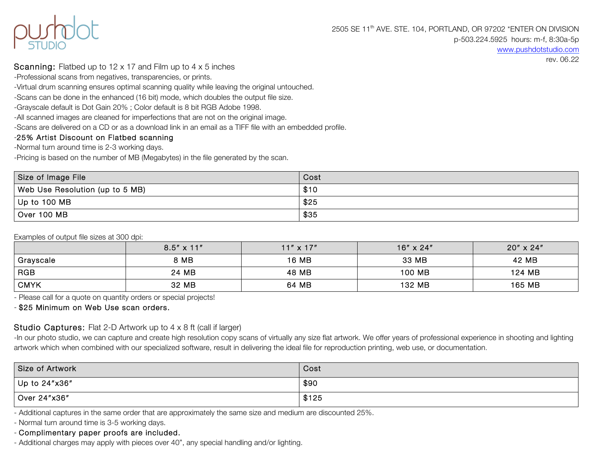

www.pushdotstudio.com

rev. 06.22

## Scanning: Flatbed up to 12 x 17 and Film up to 4 x 5 inches

-Professional scans from negatives, transparencies, or prints.

-Virtual drum scanning ensures optimal scanning quality while leaving the original untouched.

-Scans can be done in the enhanced (16 bit) mode, which doubles the output file size.

-Grayscale default is Dot Gain 20% ; Color default is 8 bit RGB Adobe 1998.

-All scanned images are cleaned for imperfections that are not on the original image.

-Scans are delivered on a CD or as a download link in an email as a TIFF file with an embedded profile.

# -25% Artist Discount on Flatbed scanning

-Normal turn around time is 2-3 working days.

-Pricing is based on the number of MB (Megabytes) in the file generated by the scan.

| Size of Image File              | Cost |
|---------------------------------|------|
| Web Use Resolution (up to 5 MB) | \$10 |
| Up to 100 MB                    | \$25 |
| Over 100 MB                     | \$35 |

Examples of output file sizes at 300 dpi:

|             | $8.5'' \times 11''$ | $11'' \times 17''$ | $16'' \times 24''$ | $20'' \times 24''$ |
|-------------|---------------------|--------------------|--------------------|--------------------|
| Grayscale   | 8 MB                | 16 MB              | 33 MB              | 42 MB              |
| <b>RGB</b>  | 24 MB               | 48 MB              | 100 MB             | 124 MB             |
| <b>CMYK</b> | 32 MB               | 64 MB              | 132 MB             | 165 MB             |

- Please call for a quote on quantity orders or special projects!

- \$25 Minimum on Web Use scan orders.

# Studio Captures: Flat 2-D Artwork up to 4 x 8 ft (call if larger)

-In our photo studio, we can capture and create high resolution copy scans of virtually any size flat artwork. We offer years of professional experience in shooting and lighting artwork which when combined with our specialized software, result in delivering the ideal file for reproduction printing, web use, or documentation.

| Size of Artwork | Cost  |
|-----------------|-------|
| Up to 24"x36"   | \$90  |
| Over 24"x36"    | \$125 |

- Additional captures in the same order that are approximately the same size and medium are discounted 25%.

- Normal turn around time is 3-5 working days.

- Complimentary paper proofs are included.

- Additional charges may apply with pieces over 40", any special handling and/or lighting.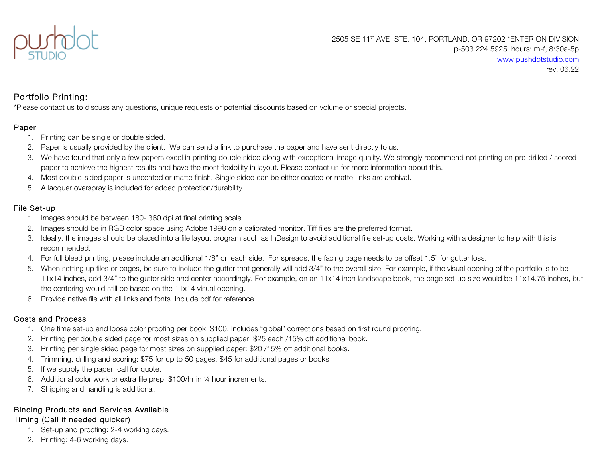

# Portfolio Printing:

\*Please contact us to discuss any questions, unique requests or potential discounts based on volume or special projects.

### Paper

- 1. Printing can be single or double sided.
- 2. Paper is usually provided by the client. We can send a link to purchase the paper and have sent directly to us.
- 3. We have found that only a few papers excel in printing double sided along with exceptional image quality. We strongly recommend not printing on pre-drilled / scored paper to achieve the highest results and have the most flexibility in layout. Please contact us for more information about this.
- 4. Most double-sided paper is uncoated or matte finish. Single sided can be either coated or matte. Inks are archival.
- 5. A lacquer overspray is included for added protection/durability.

## File Set-up

- 1. Images should be between 180- 360 dpi at final printing scale.
- 2. Images should be in RGB color space using Adobe 1998 on a calibrated monitor. Tiff files are the preferred format.
- 3. Ideally, the images should be placed into a file layout program such as InDesign to avoid additional file set-up costs. Working with a designer to help with this is recommended.
- 4. For full bleed printing, please include an additional 1/8" on each side. For spreads, the facing page needs to be offset 1.5" for gutter loss.
- 5. When setting up files or pages, be sure to include the gutter that generally will add 3/4" to the overall size. For example, if the visual opening of the portfolio is to be 11x14 inches, add 3/4" to the gutter side and center accordingly. For example, on an 11x14 inch landscape book, the page set-up size would be 11x14.75 inches, but the centering would still be based on the 11x14 visual opening.
- 6. Provide native file with all links and fonts. Include pdf for reference.

# Costs and Process

- 1. One time set-up and loose color proofing per book: \$100. Includes "global" corrections based on first round proofing.
- 2. Printing per double sided page for most sizes on supplied paper: \$25 each /15% off additional book.
- 3. Printing per single sided page for most sizes on supplied paper: \$20 /15% off additional books.
- 4. Trimming, drilling and scoring: \$75 for up to 50 pages. \$45 for additional pages or books.
- 5. If we supply the paper: call for quote.
- 6. Additional color work or extra file prep: \$100/hr in ¼ hour increments.
- 7. Shipping and handling is additional.

## Binding Products and Services Available Timing (Call if needed quicker)

- 1. Set-up and proofing: 2-4 working days.
- 2. Printing: 4-6 working days.